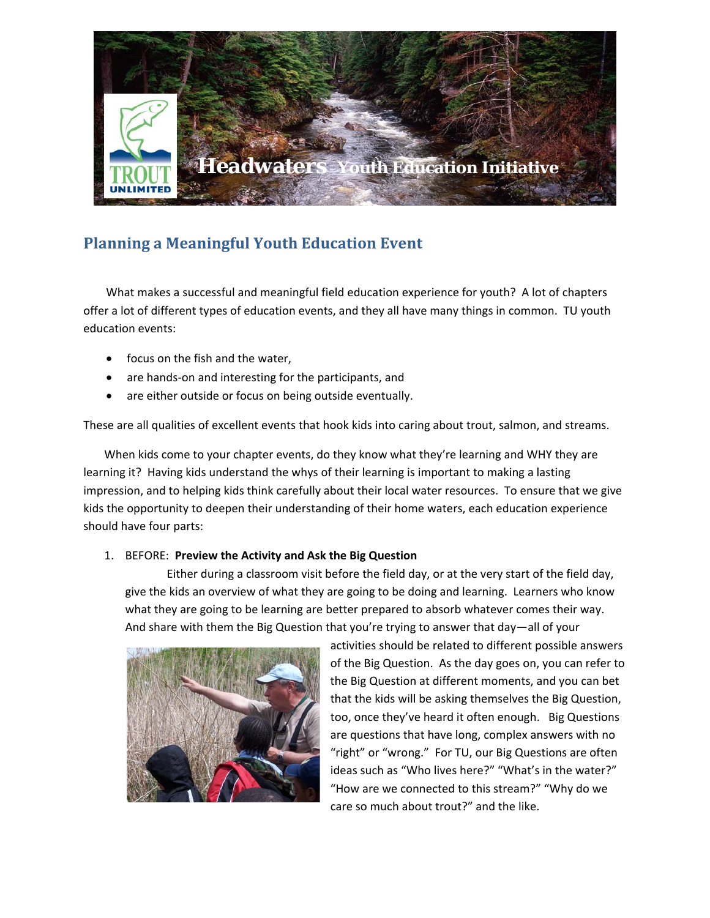

## **Planning a Meaningful Youth Education Event**

What makes a successful and meaningful field education experience for youth? A lot of chapters offer a lot of different types of education events, and they all have many things in common. TU youth education events:

- focus on the fish and the water,
- are hands-on and interesting for the participants, and
- are either outside or focus on being outside eventually.

These are all qualities of excellent events that hook kids into caring about trout, salmon, and streams.

When kids come to your chapter events, do they know what they're learning and WHY they are learning it? Having kids understand the whys of their learning is important to making a lasting impression, and to helping kids think carefully about their local water resources. To ensure that we give kids the opportunity to deepen their understanding of their home waters, each education experience should have four parts:

## 1. BEFORE: **Preview the Activity and Ask the Big Question**

Either during a classroom visit before the field day, or at the very start of the field day, give the kids an overview of what they are going to be doing and learning. Learners who know what they are going to be learning are better prepared to absorb whatever comes their way. And share with them the Big Question that you're trying to answer that day—all of your



activities should be related to different possible answers of the Big Question. As the day goes on, you can refer to the Big Question at different moments, and you can bet that the kids will be asking themselves the Big Question, too, once they've heard it often enough. Big Questions are questions that have long, complex answers with no "right" or "wrong." For TU, our Big Questions are often ideas such as "Who lives here?" "What's in the water?" "How are we connected to this stream?" "Why do we care so much about trout?" and the like.